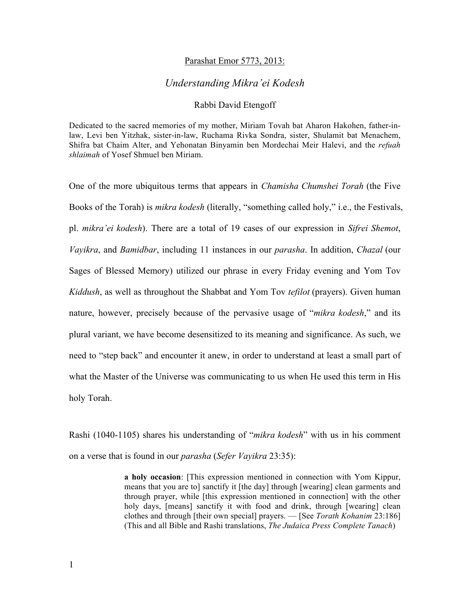## Parashat Emor 5773, 2013:

## *Understanding Mikra'ei Kodesh*

## Rabbi David Etengoff

Dedicated to the sacred memories of my mother, Miriam Tovah bat Aharon Hakohen, father-inlaw, Levi ben Yitzhak, sister-in-law, Ruchama Rivka Sondra, sister, Shulamit bat Menachem, Shifra bat Chaim Alter, and Yehonatan Binyamin ben Mordechai Meir Halevi, and the *refuah shlaimah* of Yosef Shmuel ben Miriam.

One of the more ubiquitous terms that appears in *Chamisha Chumshei Torah* (the Five Books of the Torah) is *mikra kodesh* (literally, "something called holy," i.e., the Festivals, pl. *mikra'ei kodesh*). There are a total of 19 cases of our expression in *Sifrei Shemot*, *Vayikra*, and *Bamidbar*, including 11 instances in our *parasha*. In addition, *Chazal* (our Sages of Blessed Memory) utilized our phrase in every Friday evening and Yom Tov *Kiddush*, as well as throughout the Shabbat and Yom Tov *tefilot* (prayers). Given human nature, however, precisely because of the pervasive usage of "*mikra kodesh*," and its plural variant, we have become desensitized to its meaning and significance. As such, we need to "step back" and encounter it anew, in order to understand at least a small part of what the Master of the Universe was communicating to us when He used this term in His holy Torah.

Rashi (1040-1105) shares his understanding of "*mikra kodesh*" with us in his comment on a verse that is found in our *parasha* (*Sefer Vayikra* 23:35):

> **a holy occasion**: [This expression mentioned in connection with Yom Kippur, means that you are to] sanctify it [the day] through [wearing] clean garments and through prayer, while [this expression mentioned in connection] with the other holy days, [means] sanctify it with food and drink, through [wearing] clean clothes and through [their own special] prayers. — [See *Torath Kohanim* 23:186] (This and all Bible and Rashi translations, *The Judaica Press Complete Tanach*)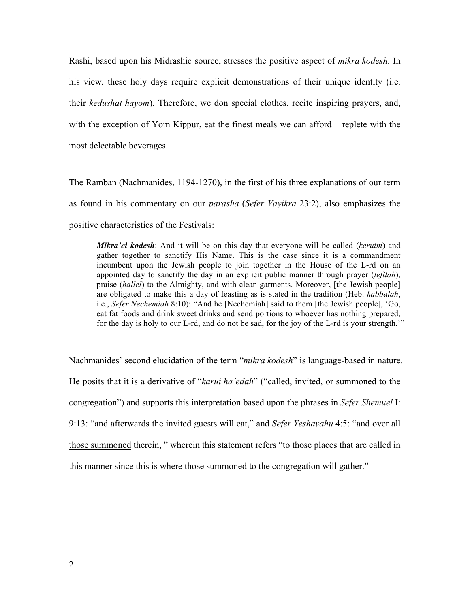Rashi, based upon his Midrashic source, stresses the positive aspect of *mikra kodesh*. In his view, these holy days require explicit demonstrations of their unique identity (i.e. their *kedushat hayom*). Therefore, we don special clothes, recite inspiring prayers, and, with the exception of Yom Kippur, eat the finest meals we can afford – replete with the most delectable beverages.

The Ramban (Nachmanides, 1194-1270), in the first of his three explanations of our term as found in his commentary on our *parasha* (*Sefer Vayikra* 23:2), also emphasizes the positive characteristics of the Festivals:

*Mikra'ei kodesh*: And it will be on this day that everyone will be called (*keruim*) and gather together to sanctify His Name. This is the case since it is a commandment incumbent upon the Jewish people to join together in the House of the L-rd on an appointed day to sanctify the day in an explicit public manner through prayer (*tefilah*), praise (*hallel*) to the Almighty, and with clean garments. Moreover, [the Jewish people] are obligated to make this a day of feasting as is stated in the tradition (Heb. *kabbalah*, i.e., *Sefer Nechemiah* 8:10): "And he [Nechemiah] said to them [the Jewish people], 'Go, eat fat foods and drink sweet drinks and send portions to whoever has nothing prepared, for the day is holy to our L-rd, and do not be sad, for the joy of the L-rd is your strength.'"

Nachmanides' second elucidation of the term "*mikra kodesh*" is language-based in nature. He posits that it is a derivative of "*karui ha'edah*" ("called, invited, or summoned to the congregation") and supports this interpretation based upon the phrases in *Sefer Shemuel* I: 9:13: "and afterwards the invited guests will eat," and *Sefer Yeshayahu* 4:5: "and over all those summoned therein, " wherein this statement refers "to those places that are called in this manner since this is where those summoned to the congregation will gather."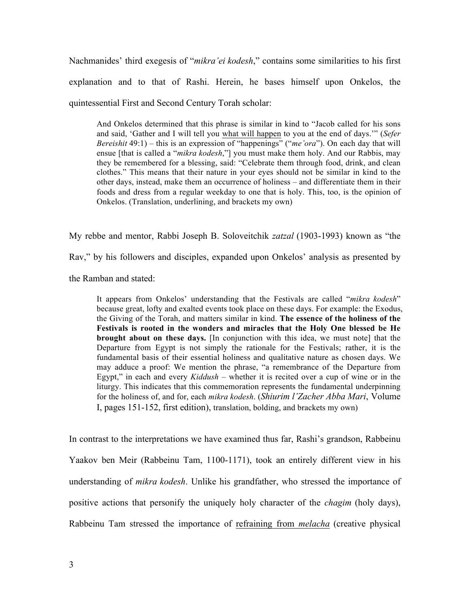Nachmanides' third exegesis of "*mikra'ei kodesh*," contains some similarities to his first explanation and to that of Rashi. Herein, he bases himself upon Onkelos, the quintessential First and Second Century Torah scholar:

And Onkelos determined that this phrase is similar in kind to "Jacob called for his sons and said, 'Gather and I will tell you what will happen to you at the end of days.'" (*Sefer Bereishit* 49:1) – this is an expression of "happenings" ("*me'ora*"). On each day that will ensue [that is called a "*mikra kodesh*,"] you must make them holy. And our Rabbis, may they be remembered for a blessing, said: "Celebrate them through food, drink, and clean clothes." This means that their nature in your eyes should not be similar in kind to the other days, instead, make them an occurrence of holiness – and differentiate them in their foods and dress from a regular weekday to one that is holy. This, too, is the opinion of Onkelos. (Translation, underlining, and brackets my own)

My rebbe and mentor, Rabbi Joseph B. Soloveitchik *zatzal* (1903-1993) known as "the Rav," by his followers and disciples, expanded upon Onkelos' analysis as presented by

the Ramban and stated:

It appears from Onkelos' understanding that the Festivals are called "*mikra kodesh*" because great, lofty and exalted events took place on these days. For example: the Exodus, the Giving of the Torah, and matters similar in kind. **The essence of the holiness of the Festivals is rooted in the wonders and miracles that the Holy One blessed be He brought about on these days.** [In conjunction with this idea, we must note] that the Departure from Egypt is not simply the rationale for the Festivals; rather, it is the fundamental basis of their essential holiness and qualitative nature as chosen days. We may adduce a proof: We mention the phrase, "a remembrance of the Departure from Egypt," in each and every *Kiddush* – whether it is recited over a cup of wine or in the liturgy. This indicates that this commemoration represents the fundamental underpinning for the holiness of, and for, each *mikra kodesh*. (*Shiurim l'Zacher Abba Mari*, Volume I, pages 151-152, first edition), translation, bolding, and brackets my own)

In contrast to the interpretations we have examined thus far, Rashi's grandson, Rabbeinu Yaakov ben Meir (Rabbeinu Tam, 1100-1171), took an entirely different view in his understanding of *mikra kodesh*. Unlike his grandfather, who stressed the importance of positive actions that personify the uniquely holy character of the *chagim* (holy days), Rabbeinu Tam stressed the importance of refraining from *melacha* (creative physical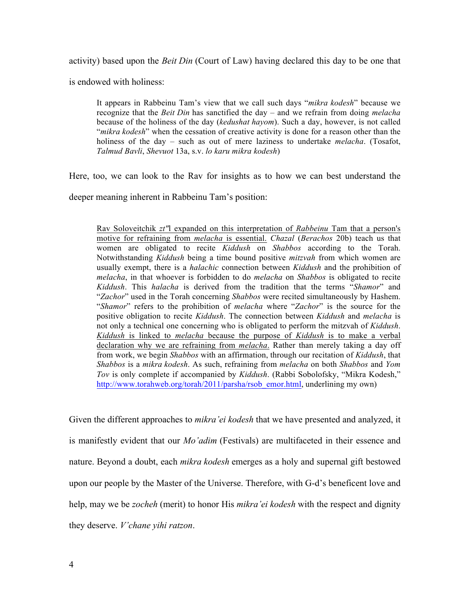activity) based upon the *Beit Din* (Court of Law) having declared this day to be one that

is endowed with holiness:

It appears in Rabbeinu Tam's view that we call such days "*mikra kodesh*" because we recognize that the *Beit Din* has sanctified the day – and we refrain from doing *melacha*  because of the holiness of the day (*kedushat hayom*). Such a day, however, is not called "*mikra kodesh*" when the cessation of creative activity is done for a reason other than the holiness of the day – such as out of mere laziness to undertake *melacha*. (Tosafot, *Talmud Bavli*, *Shevuot* 13a, s.v. *lo karu mikra kodesh*)

Here, too, we can look to the Rav for insights as to how we can best understand the

deeper meaning inherent in Rabbeinu Tam's position:

Rav Soloveitchik *zt"*l expanded on this interpretation of *Rabbeinu* Tam that a person's motive for refraining from *melacha* is essential. *Chazal* (*Berachos* 20b) teach us that women are obligated to recite *Kiddush* on *Shabbos* according to the Torah. Notwithstanding *Kiddush* being a time bound positive *mitzvah* from which women are usually exempt, there is a *halachic* connection between *Kiddush* and the prohibition of *melacha*, in that whoever is forbidden to do *melacha* on *Shabbos* is obligated to recite *Kiddush*. This *halacha* is derived from the tradition that the terms "*Shamor*" and "*Zachor*" used in the Torah concerning *Shabbos* were recited simultaneously by Hashem. "*Shamor*" refers to the prohibition of *melacha* where "*Zachor*" is the source for the positive obligation to recite *Kiddush*. The connection between *Kiddush* and *melacha* is not only a technical one concerning who is obligated to perform the mitzvah of *Kiddush*. *Kiddush* is linked to *melacha* because the purpose of *Kiddush* is to make a verbal declaration why we are refraining from *melacha*. Rather than merely taking a day off from work, we begin *Shabbos* with an affirmation, through our recitation of *Kiddush*, that *Shabbos* is a *mikra kodesh*. As such, refraining from *melacha* on both *Shabbos* and *Yom Tov* is only complete if accompanied by *Kiddush*. (Rabbi Sobolofsky, "Mikra Kodesh," http://www.torahweb.org/torah/2011/parsha/rsob\_emor.html, underlining my own)

Given the different approaches to *mikra'ei kodesh* that we have presented and analyzed, it is manifestly evident that our *Mo'adim* (Festivals) are multifaceted in their essence and nature. Beyond a doubt, each *mikra kodesh* emerges as a holy and supernal gift bestowed upon our people by the Master of the Universe. Therefore, with G-d's beneficent love and help, may we be *zocheh* (merit) to honor His *mikra'ei kodesh* with the respect and dignity they deserve. *V'chane yihi ratzon*.